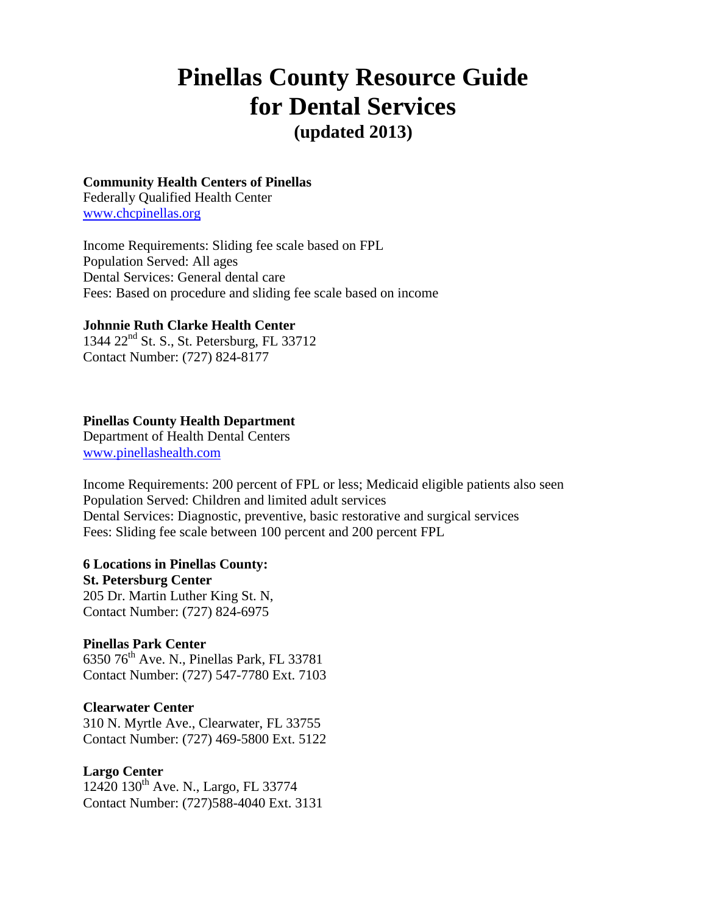# **Pinellas County Resource Guide for Dental Services (updated 2013)**

### **Community Health Centers of Pinellas**

Federally Qualified Health Center [www.chcpinellas.org](http://www.chcpinellas.org/)

Income Requirements: Sliding fee scale based on FPL Population Served: All ages Dental Services: General dental care Fees: Based on procedure and sliding fee scale based on income

# **Johnnie Ruth Clarke Health Center**

1344 22nd St. S., St. Petersburg, FL 33712 Contact Number: (727) 824-8177

### **Pinellas County Health Department**

Department of Health Dental Centers [www.pinellashealth.com](http://www.pinellashealth.com/)

Income Requirements: 200 percent of FPL or less; Medicaid eligible patients also seen Population Served: Children and limited adult services Dental Services: Diagnostic, preventive, basic restorative and surgical services Fees: Sliding fee scale between 100 percent and 200 percent FPL

#### **6 Locations in Pinellas County:**

**St. Petersburg Center** 205 Dr. Martin Luther King St. N, Contact Number: (727) 824-6975

### **Pinellas Park Center** 6350 76th Ave. N., Pinellas Park, FL 33781 Contact Number: (727) 547-7780 Ext. 7103

# **Clearwater Center**

310 N. Myrtle Ave., Clearwater, FL 33755 Contact Number: (727) 469-5800 Ext. 5122

# **Largo Center**

12420 130<sup>th</sup> Ave. N., Largo, FL 33774 Contact Number: (727)588-4040 Ext. 3131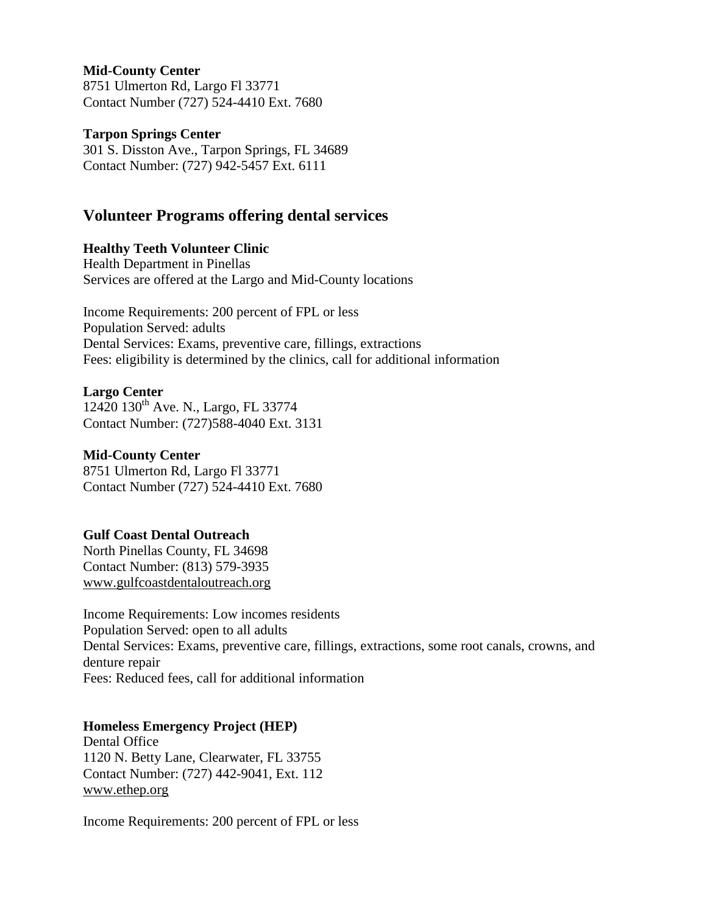# **Mid-County Center**

8751 Ulmerton Rd, Largo Fl 33771 Contact Number (727) 524-4410 Ext. 7680

### **Tarpon Springs Center**

301 S. Disston Ave., Tarpon Springs, FL 34689 Contact Number: (727) 942-5457 Ext. 6111

# **Volunteer Programs offering dental services**

# **Healthy Teeth Volunteer Clinic**

Health Department in Pinellas Services are offered at the Largo and Mid-County locations

Income Requirements: 200 percent of FPL or less Population Served: adults Dental Services: Exams, preventive care, fillings, extractions Fees: eligibility is determined by the clinics, call for additional information

# **Largo Center**

12420 130<sup>th</sup> Ave. N., Largo, FL 33774 Contact Number: (727)588-4040 Ext. 3131

### **Mid-County Center**

8751 Ulmerton Rd, Largo Fl 33771 Contact Number (727) 524-4410 Ext. 7680

# **Gulf Coast Dental Outreach**

North Pinellas County, FL 34698 Contact Number: (813) 579-3935 [www.gulfcoastdentaloutreach.org](http://www.gulfcoastdentaloutreach.org/)

Income Requirements: Low incomes residents Population Served: open to all adults Dental Services: Exams, preventive care, fillings, extractions, some root canals, crowns, and denture repair Fees: Reduced fees, call for additional information

# **Homeless Emergency Project (HEP)**

Dental Office 1120 N. Betty Lane, Clearwater, FL 33755 Contact Number: (727) 442-9041, Ext. 112 [www.ethep.org](http://www.ethep.org/)

Income Requirements: 200 percent of FPL or less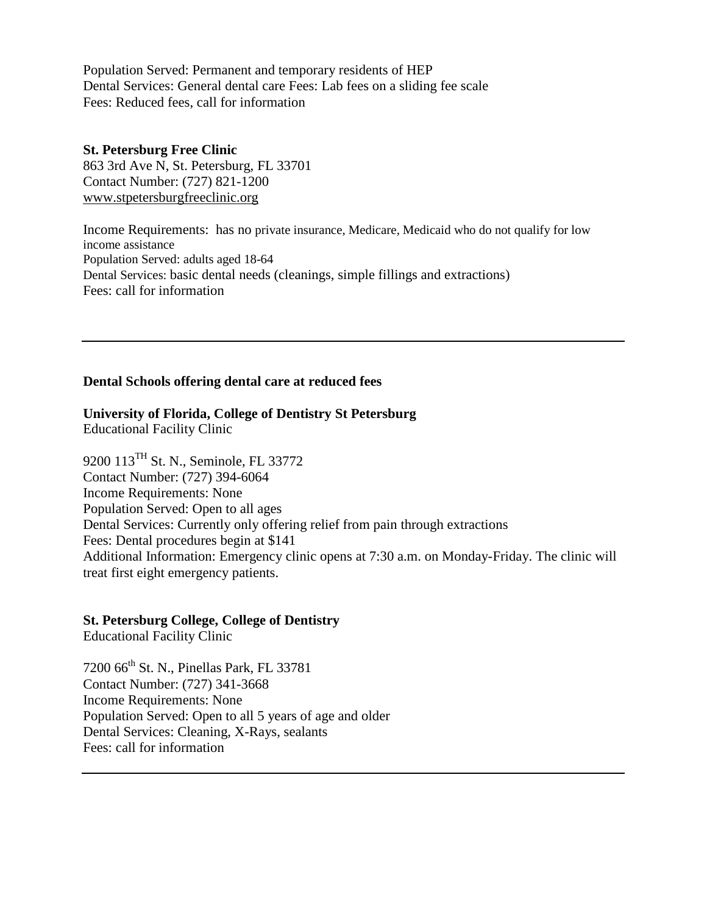Population Served: Permanent and temporary residents of HEP Dental Services: General dental care Fees: Lab fees on a sliding fee scale Fees: Reduced fees, call for information

**St. Petersburg Free Clinic**  863 3rd Ave N, St. Petersburg, FL 33701 Contact Number: (727) 821-1200 [www.stpetersburgfreeclinic.org](http://www.stpetersburgfreeclinic.org/)

Income Requirements: has no private insurance, Medicare, Medicaid who do not qualify for low income assistance Population Served: adults aged 18-64 Dental Services: basic dental needs (cleanings, simple fillings and extractions) Fees: call for information

# **Dental Schools offering dental care at reduced fees**

**University of Florida, College of Dentistry St Petersburg** Educational Facility Clinic

9200 113TH St. N., Seminole, FL 33772 Contact Number: (727) 394-6064 Income Requirements: None Population Served: Open to all ages Dental Services: Currently only offering relief from pain through extractions Fees: Dental procedures begin at \$141 Additional Information: Emergency clinic opens at 7:30 a.m. on Monday-Friday. The clinic will treat first eight emergency patients.

### **St. Petersburg College, College of Dentistry**

Educational Facility Clinic

7200 66<sup>th</sup> St. N., Pinellas Park, FL 33781 Contact Number: (727) 341-3668 Income Requirements: None Population Served: Open to all 5 years of age and older Dental Services: Cleaning, X-Rays, sealants Fees: call for information